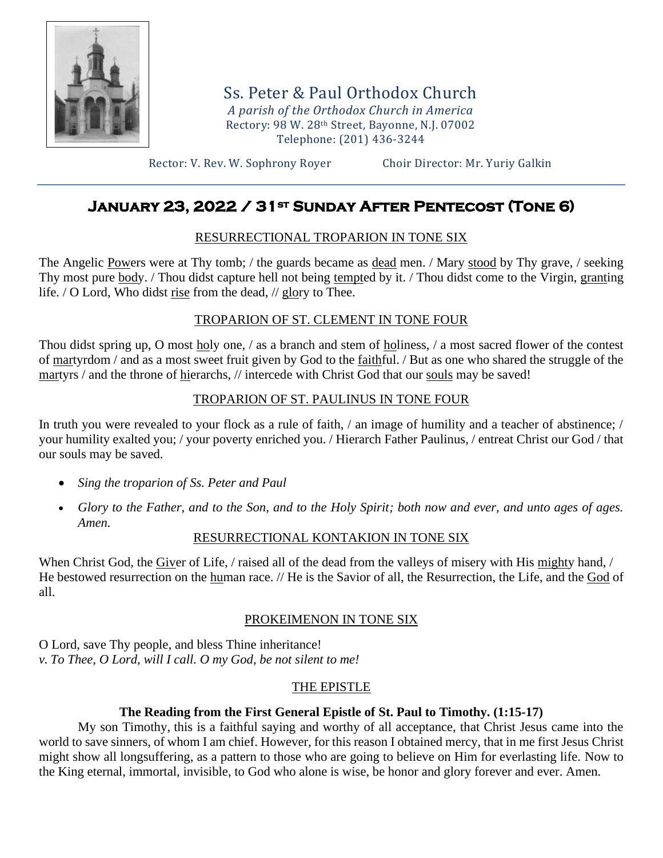

Ss. Peter & Paul Orthodox Church *A parish of the Orthodox Church in America* Rectory: 98 W. 28th Street, Bayonne, N.J. 07002 Telephone: (201) 436-3244

Rector: V. Rev. W. Sophrony Royer Choir Director: Mr. Yuriy Galkin

# **January 23, 2022 / 31st Sunday After Pentecost (Tone 6)**

# RESURRECTIONAL TROPARION IN TONE SIX

The Angelic Powers were at Thy tomb; / the guards became as dead men. / Mary stood by Thy grave, / seeking Thy most pure body. / Thou didst capture hell not being tempted by it. / Thou didst come to the Virgin, granting life. / O Lord, Who didst rise from the dead, // glory to Thee.

# TROPARION OF ST. CLEMENT IN TONE FOUR

Thou didst spring up, O most holy one, / as a branch and stem of holiness, / a most sacred flower of the contest of martyrdom / and as a most sweet fruit given by God to the faithful. / But as one who shared the struggle of the martyrs / and the throne of hierarchs, // intercede with Christ God that our souls may be saved!

# TROPARION OF ST. PAULINUS IN TONE FOUR

In truth you were revealed to your flock as a rule of faith, / an image of humility and a teacher of abstinence; / your humility exalted you; / your poverty enriched you. / Hierarch Father Paulinus, / entreat Christ our God / that our souls may be saved.

- *Sing the troparion of Ss. Peter and Paul*
- *Glory to the Father, and to the Son, and to the Holy Spirit; both now and ever, and unto ages of ages. Amen.*

# RESURRECTIONAL KONTAKION IN TONE SIX

When Christ God, the Giver of Life, / raised all of the dead from the valleys of misery with His mighty hand, / He bestowed resurrection on the human race. // He is the Savior of all, the Resurrection, the Life, and the God of all.

# PROKEIMENON IN TONE SIX

O Lord, save Thy people, and bless Thine inheritance! *v. To Thee, O Lord, will I call. O my God, be not silent to me!*

# THE EPISTLE

# **The Reading from the First General Epistle of St. Paul to Timothy. (1:15-17)**

My son Timothy, this is a faithful saying and worthy of all acceptance, that Christ Jesus came into the world to save sinners, of whom I am chief. However, for this reason I obtained mercy, that in me first Jesus Christ might show all longsuffering, as a pattern to those who are going to believe on Him for everlasting life. Now to the King eternal, immortal, invisible, to God who alone is wise, be honor and glory forever and ever. Amen.